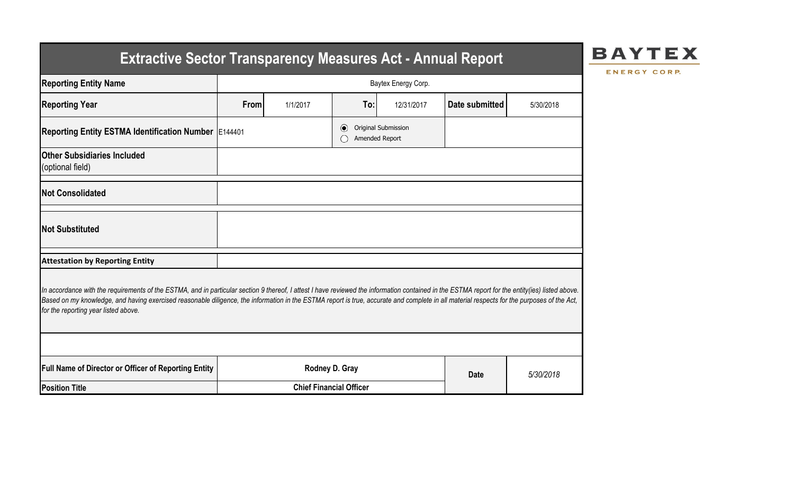# **Extractive Sector Transparency Measures Act - Annual Report**

## **BAYTEX**

ENERGY CORP.

| <b>Reporting Entity Name</b>                                                                                                                                                                                                                                                                                                                                                                                                          | Baytex Energy Corp.            |          |                               |                                       |                |           |  |  |  |  |
|---------------------------------------------------------------------------------------------------------------------------------------------------------------------------------------------------------------------------------------------------------------------------------------------------------------------------------------------------------------------------------------------------------------------------------------|--------------------------------|----------|-------------------------------|---------------------------------------|----------------|-----------|--|--|--|--|
| <b>Reporting Year</b>                                                                                                                                                                                                                                                                                                                                                                                                                 | <b>From</b>                    | 1/1/2017 | To:                           | 12/31/2017                            | Date submitted | 5/30/2018 |  |  |  |  |
| Reporting Entity ESTMA Identification Number E144401                                                                                                                                                                                                                                                                                                                                                                                  |                                |          | $\bullet$                     | Original Submission<br>Amended Report |                |           |  |  |  |  |
| <b>Other Subsidiaries Included</b><br>(optional field)                                                                                                                                                                                                                                                                                                                                                                                |                                |          |                               |                                       |                |           |  |  |  |  |
| <b>Not Consolidated</b>                                                                                                                                                                                                                                                                                                                                                                                                               |                                |          |                               |                                       |                |           |  |  |  |  |
| <b>Not Substituted</b>                                                                                                                                                                                                                                                                                                                                                                                                                |                                |          |                               |                                       |                |           |  |  |  |  |
| <b>Attestation by Reporting Entity</b>                                                                                                                                                                                                                                                                                                                                                                                                |                                |          |                               |                                       |                |           |  |  |  |  |
| In accordance with the requirements of the ESTMA, and in particular section 9 thereof, I attest I have reviewed the information contained in the ESTMA report for the entity(ies) listed above.<br>Based on my knowledge, and having exercised reasonable diligence, the information in the ESTMA report is true, accurate and complete in all material respects for the purposes of the Act,<br>for the reporting year listed above. |                                |          |                               |                                       |                |           |  |  |  |  |
|                                                                                                                                                                                                                                                                                                                                                                                                                                       |                                |          |                               |                                       |                |           |  |  |  |  |
| Full Name of Director or Officer of Reporting Entity                                                                                                                                                                                                                                                                                                                                                                                  |                                |          | Rodney D. Gray<br><b>Date</b> |                                       |                | 5/30/2018 |  |  |  |  |
| <b>Position Title</b>                                                                                                                                                                                                                                                                                                                                                                                                                 | <b>Chief Financial Officer</b> |          |                               |                                       |                |           |  |  |  |  |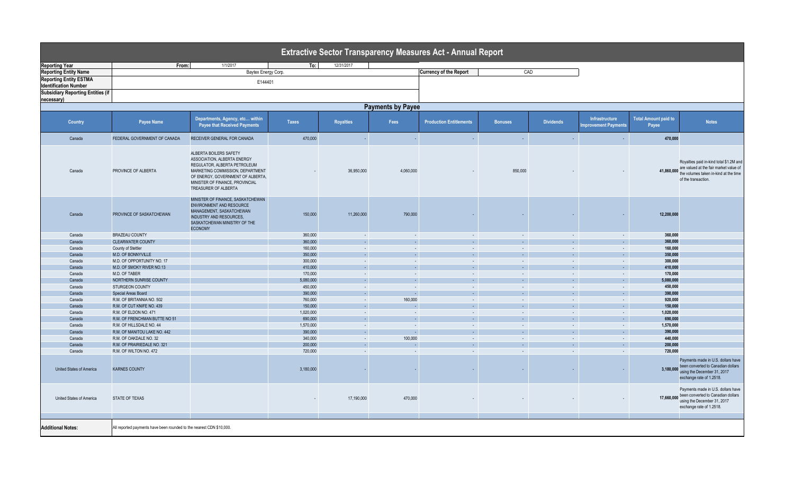| <b>Extractive Sector Transparency Measures Act - Annual Report</b> |                                                                      |                                                                                                                                                                                                                           |                      |                  |               |                                |                              |                     |                                       |                                      |                                                                                                                                                   |
|--------------------------------------------------------------------|----------------------------------------------------------------------|---------------------------------------------------------------------------------------------------------------------------------------------------------------------------------------------------------------------------|----------------------|------------------|---------------|--------------------------------|------------------------------|---------------------|---------------------------------------|--------------------------------------|---------------------------------------------------------------------------------------------------------------------------------------------------|
| <b>Reporting Year</b>                                              | From:                                                                | 1/1/2017                                                                                                                                                                                                                  | To:                  | 12/31/2017       |               |                                |                              |                     |                                       |                                      |                                                                                                                                                   |
| <b>Reporting Entity Name</b>                                       |                                                                      | Baytex Energy Corp.                                                                                                                                                                                                       |                      |                  |               | <b>Currency of the Report</b>  |                              | CAD                 |                                       |                                      |                                                                                                                                                   |
| <b>Reporting Entity ESTMA</b>                                      |                                                                      |                                                                                                                                                                                                                           |                      |                  |               |                                |                              |                     |                                       |                                      |                                                                                                                                                   |
| <b>Identification Number</b>                                       |                                                                      | E144401                                                                                                                                                                                                                   |                      |                  |               |                                |                              |                     |                                       |                                      |                                                                                                                                                   |
| <b>Subsidiary Reporting Entities (if</b>                           |                                                                      |                                                                                                                                                                                                                           |                      |                  |               |                                |                              |                     |                                       |                                      |                                                                                                                                                   |
|                                                                    |                                                                      |                                                                                                                                                                                                                           |                      |                  |               |                                |                              |                     |                                       |                                      |                                                                                                                                                   |
| necessary)                                                         |                                                                      |                                                                                                                                                                                                                           |                      |                  |               |                                |                              |                     |                                       |                                      |                                                                                                                                                   |
|                                                                    | <b>Payments by Payee</b>                                             |                                                                                                                                                                                                                           |                      |                  |               |                                |                              |                     |                                       |                                      |                                                                                                                                                   |
| <b>Country</b>                                                     | Payee Name                                                           | Departments, Agency, etc within<br><b>Payee that Received Payments</b>                                                                                                                                                    | Taxes                | <b>Royalties</b> | Fees          | <b>Production Entitlements</b> | <b>Bonuses</b>               | <b>Dividends</b>    | Infrastructure<br>nprovement Payments | <b>Total Amount paid to</b><br>Payee | <b>Notes</b>                                                                                                                                      |
| Canada                                                             | FEDERAL GOVERNMENT OF CANADA                                         | RECEIVER GENERAL FOR CANADA                                                                                                                                                                                               | 470,000              |                  | ×.            | ×.                             | $\sim$                       | $\sim$              | .                                     | 470.000                              |                                                                                                                                                   |
| Canada                                                             | PROVINCE OF ALBERTA                                                  | ALBERTA BOILERS SAFETY<br>ASSOCIATION, ALBERTA ENERGY<br>REGULATOR, ALBERTA PETROLEUM<br>MARKETING COMMISSION, DEPARTMENT<br>OF ENERGY, GOVERNMENT OF ALBERTA,<br>MINISTER OF FINANCE, PROVINCIAL<br>TREASURER OF ALBERTA |                      | 36,950,000       | 4,060,000     |                                | 850,000                      |                     |                                       | 41,860,000                           | Royalties paid in-kind total \$1.2M and<br>are valued at the fair market value of<br>the volumes taken in-kind at the time<br>of the transaction. |
| Canada                                                             | PROVINCE OF SASKATCHEWAN                                             | MINISTER OF FINANCE, SASKATCHEWAN<br><b>ENVIRONMENT AND RESOURCE</b><br>MANAGEMENT, SASKATCHEWAN<br><b>INDUSTRY AND RESOURCES,</b><br>SASKATCHEWAN MINISTRY OF THE<br><b>ECONOMY</b>                                      | 150,000              | 11,260,000       | 790,000       |                                |                              |                     | $\sim$                                | 12.200.000                           |                                                                                                                                                   |
| Canada                                                             | <b>BRAZEAU COUNTY</b>                                                |                                                                                                                                                                                                                           | 360,000              | $\sim$           | $\sim$        | $\sim$                         | $\sim$                       | $\sim$              | $\sim$                                | 360,000                              |                                                                                                                                                   |
| Canada                                                             | <b>CLEARWATER COUNTY</b>                                             |                                                                                                                                                                                                                           | 360,000              | $\sim$           | $\sim$        | $\sim$                         | $\sim$                       | G.                  | $\sim$                                | 360,000                              |                                                                                                                                                   |
| Canada                                                             | County of Stettler                                                   |                                                                                                                                                                                                                           | 160,000              | $\sim$           | $\sim$        | $\sim$                         | $\sim$                       | $\mathcal{L}$       | $\sim$                                | 160,000                              |                                                                                                                                                   |
| Canada                                                             | M.D. OF BONNYVILLE                                                   |                                                                                                                                                                                                                           | 350,000              | ÷.               | $\mathcal{L}$ | $\sim$                         | ÷.                           | $\sim$              | $\mathcal{L}_{\mathrm{eff}}$          | 350,000                              |                                                                                                                                                   |
| Canada                                                             | M.D. OF OPPORTUNITY NO. 17                                           |                                                                                                                                                                                                                           | 300,000              | $\sim$           | $\sim$        | $\sim$                         | $\sim$                       | $\sim$              | $\sim$                                | 300,000                              |                                                                                                                                                   |
| Canada                                                             | M.D. OF SMOKY RIVER NO.13                                            |                                                                                                                                                                                                                           | 410,000              | $\sim$           | $\sim$        | $\sim 1$                       | $\mathcal{L}^{\pm}$          | $\mathcal{L}^{\pm}$ | $\sim$ $^{-1}$                        | 410.000                              |                                                                                                                                                   |
| Canada                                                             | M.D. OF TABER                                                        |                                                                                                                                                                                                                           | 170,000              | $\sim$           | $\sim$        | $\sim$                         | $\sim$                       | $\sim$              | $\sim$ $-$                            | 170,000                              |                                                                                                                                                   |
| Canada                                                             | NORTHERN SUNRISE COUNTY                                              |                                                                                                                                                                                                                           | 5,080,000            | $\sim$           | $\sim$        | $\sim 1$                       | $\omega_{\rm c}$             | $\sim$ $^{-1}$      | $\sim$ $^{-1}$                        | 5.080.000                            |                                                                                                                                                   |
| Canada                                                             | STURGEON COUNTY                                                      |                                                                                                                                                                                                                           | 450,000              | $\sim$           | $\sim$        | $\sim$                         | $\sim$                       | $\sim$              | $\sim$                                | 450.000                              |                                                                                                                                                   |
| Canada                                                             |                                                                      |                                                                                                                                                                                                                           | 390,000              | $\sim$           | $\sim$        | $\sim$ $^{-1}$                 | $\mathcal{L}_{\mathrm{eff}}$ | $\sim$              | $\sim$ $^{-1}$                        | 390,000                              |                                                                                                                                                   |
|                                                                    | Special Areas Board                                                  |                                                                                                                                                                                                                           |                      |                  | 160,000       |                                |                              |                     |                                       | 920,000                              |                                                                                                                                                   |
| Canada                                                             | R.M. OF BRITANNIA NO. 502                                            |                                                                                                                                                                                                                           | 760,000              | $\sim$           |               | $\sim$                         | $\sim$                       | $\sim$              | $\sim$                                |                                      |                                                                                                                                                   |
| Canada                                                             | R.M. OF CUT KNIFE NO. 439                                            |                                                                                                                                                                                                                           | 150,000              | $\sim$           | $\sim$        | $\sim$                         | $\sim$                       | $\sim$              | $\sim$ $^{-1}$                        | 150,000                              |                                                                                                                                                   |
| Canada                                                             | R.M. OF ELDON NO. 471                                                |                                                                                                                                                                                                                           | 1,020,000            | $\sim$           | $\sim$        | $\sim$                         | $\sim$                       | $\sim$              | $\sim$                                | 1,020,000                            |                                                                                                                                                   |
| Canada                                                             | R.M. OF FRENCHMAN BUTTE NO 51                                        |                                                                                                                                                                                                                           | 690,000              | $\sim$           | $\sim$        | $\sim$ $^{-1}$                 | $\sim$                       | $\sim$              | $\sim$ $^{-1}$                        | 690,000                              |                                                                                                                                                   |
| Canada                                                             | R.M. OF HILLSDALE NO. 44                                             |                                                                                                                                                                                                                           | 1,570,000            | $\sim$           | $\sim$        | $\sim$                         | $\sim$                       | $\sim$              | $\sim$                                | 1,570,000                            |                                                                                                                                                   |
| Canada                                                             | R.M. OF MANITOU LAKE NO. 442                                         |                                                                                                                                                                                                                           | 390,000              | n.               | a.            | $\sim$                         | $\sim$                       | $\sim$              | $\sim$                                | 390.000                              |                                                                                                                                                   |
| Canada                                                             | R.M. OF OAKDALE NO. 32                                               |                                                                                                                                                                                                                           | 340,000              | $\sim$           | 100,000       | $\sim$                         | $\sim$                       | $\sim$              | $\sim$                                | 440,000                              |                                                                                                                                                   |
| Canada                                                             | R.M. OF PRAIRIEDALE NO. 321                                          |                                                                                                                                                                                                                           | 200,000              | ä,               |               | ä,                             | ÷.                           | ×.                  | $\omega_{\rm c}$                      | 200,000                              |                                                                                                                                                   |
| Canada<br>United States of America                                 | R.M. OF WILTON NO. 472<br><b>KARNES COUNTY</b>                       |                                                                                                                                                                                                                           | 720,000<br>3,180,000 | $\sim$           | $\sim$        | $\sim$                         | $\sim$                       | $\sim$              | $\sim$<br>$\sim$                      | 720,000                              | Payments made in U.S. dollars have<br>3,180,000 been converted to Canadian dollars<br>using the December 31, 2017<br>exchange rate of 1.2518.     |
| United States of America                                           | STATE OF TEXAS                                                       |                                                                                                                                                                                                                           |                      | 17,190,000       | 470,000       |                                |                              |                     |                                       | 17,660,000                           | Payments made in U.S. dollars have<br>been converted to Canadian dollars<br>using the December 31, 2017<br>exchange rate of 1.2518.               |
|                                                                    |                                                                      |                                                                                                                                                                                                                           |                      |                  |               |                                |                              |                     |                                       |                                      |                                                                                                                                                   |
| <b>Additional Notes:</b>                                           | All reported payments have been rounded to the nearest CDN \$10,000. |                                                                                                                                                                                                                           |                      |                  |               |                                |                              |                     |                                       |                                      |                                                                                                                                                   |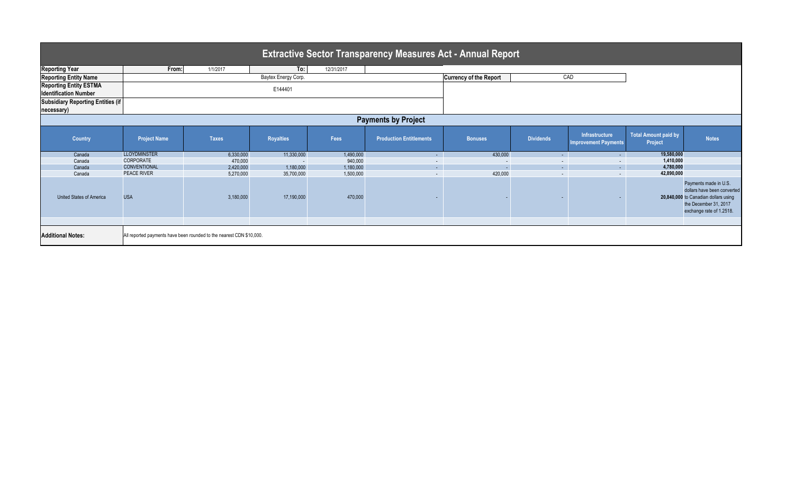| <b>Extractive Sector Transparency Measures Act - Annual Report</b> |                                                                      |              |                  |            |                                |                               |                  |                                               |                                        |                                                                                                                                                   |  |
|--------------------------------------------------------------------|----------------------------------------------------------------------|--------------|------------------|------------|--------------------------------|-------------------------------|------------------|-----------------------------------------------|----------------------------------------|---------------------------------------------------------------------------------------------------------------------------------------------------|--|
| <b>Reporting Year</b>                                              | From:                                                                | 1/1/2017     | To:              | 12/31/2017 |                                |                               |                  |                                               |                                        |                                                                                                                                                   |  |
| <b>Reporting Entity Name</b>                                       | Baytex Energy Corp.                                                  |              |                  |            |                                | <b>Currency of the Report</b> |                  | CAD                                           |                                        |                                                                                                                                                   |  |
| <b>Reporting Entity ESTMA</b><br><b>Identification Number</b>      | E144401                                                              |              |                  |            |                                |                               |                  |                                               |                                        |                                                                                                                                                   |  |
| <b>Subsidiary Reporting Entities (if</b>                           |                                                                      |              |                  |            |                                |                               |                  |                                               |                                        |                                                                                                                                                   |  |
| necessary)                                                         |                                                                      |              |                  |            |                                |                               |                  |                                               |                                        |                                                                                                                                                   |  |
| <b>Payments by Project</b>                                         |                                                                      |              |                  |            |                                |                               |                  |                                               |                                        |                                                                                                                                                   |  |
| <b>Country</b>                                                     | <b>Project Name</b>                                                  | <b>Taxes</b> | <b>Royalties</b> | Fees       | <b>Production Entitlements</b> | <b>Bonuses</b>                | <b>Dividends</b> | Infrastructure<br><b>Improvement Payments</b> | <b>Total Amount paid by</b><br>Project | <b>Notes</b>                                                                                                                                      |  |
| Canada                                                             | <b>LLOYDMINSTER</b>                                                  | 6,330,000    | 11,330,000       | 1,490,000  | $\sim$                         | 430,000                       | $\sim$ 100 $\pm$ | $\sim$ $-$                                    | 19,580,000                             |                                                                                                                                                   |  |
| Canada                                                             | CORPORATE                                                            | 470,000      |                  | 940,000    | $\sim$                         | $\overline{\phantom{a}}$      |                  | $\sim$                                        | 1,410,000                              |                                                                                                                                                   |  |
| Canada                                                             | CONVENTIONAL                                                         | 2,420,000    | 1,180,000        | 1,180,000  | $\sim$                         | $\sim$                        | $\sim$           | $\Delta \sim 1$                               | 4,780,000                              |                                                                                                                                                   |  |
| Canada                                                             | <b>PEACE RIVER</b>                                                   | 5,270,000    | 35,700,000       | 1,500,000  | $\overline{\phantom{a}}$       | 420,000                       |                  | $\sim$                                        | 42,890,000                             |                                                                                                                                                   |  |
| <b>United States of America</b>                                    | <b>USA</b>                                                           | 3,180,000    | 17,190,000       | 470,000    |                                |                               |                  |                                               |                                        | Payments made in U.S.<br>dollars have been converted<br>20,840,000 to Canadian dollars using<br>the December 31, 2017<br>exchange rate of 1.2518. |  |
|                                                                    |                                                                      |              |                  |            |                                |                               |                  |                                               |                                        |                                                                                                                                                   |  |
| <b>Additional Notes:</b>                                           | All reported payments have been rounded to the nearest CDN \$10,000. |              |                  |            |                                |                               |                  |                                               |                                        |                                                                                                                                                   |  |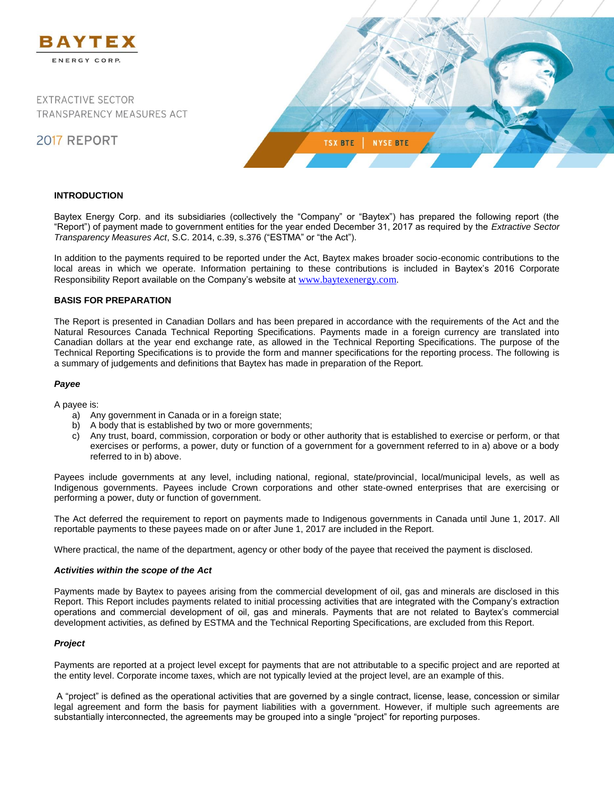

### **INTRODUCTION**

Baytex Energy Corp. and its subsidiaries (collectively the "Company" or "Baytex") has prepared the following report (the "Report") of payment made to government entities for the year ended December 31, 2017 as required by the *Extractive Sector Transparency Measures Act*, S.C. 2014, c.39, s.376 ("ESTMA" or "the Act").

In addition to the payments required to be reported under the Act, Baytex makes broader socio-economic contributions to the local areas in which we operate. Information pertaining to these contributions is included in Baytex's 2016 Corporate Responsibility Report available on the Company's website at [www.baytexenergy.com](http://www.baytexenergy.com/).

## **BASIS FOR PREPARATION**

The Report is presented in Canadian Dollars and has been prepared in accordance with the requirements of the Act and the Natural Resources Canada Technical Reporting Specifications. Payments made in a foreign currency are translated into Canadian dollars at the year end exchange rate, as allowed in the Technical Reporting Specifications. The purpose of the Technical Reporting Specifications is to provide the form and manner specifications for the reporting process. The following is a summary of judgements and definitions that Baytex has made in preparation of the Report.

#### *Payee*

A payee is:

- a) Any government in Canada or in a foreign state;
- b) A body that is established by two or more governments;
- c) Any trust, board, commission, corporation or body or other authority that is established to exercise or perform, or that exercises or performs, a power, duty or function of a government for a government referred to in a) above or a body referred to in b) above.

Payees include governments at any level, including national, regional, state/provincial, local/municipal levels, as well as Indigenous governments. Payees include Crown corporations and other state-owned enterprises that are exercising or performing a power, duty or function of government.

The Act deferred the requirement to report on payments made to Indigenous governments in Canada until June 1, 2017. All reportable payments to these payees made on or after June 1, 2017 are included in the Report.

Where practical, the name of the department, agency or other body of the payee that received the payment is disclosed.

#### *Activities within the scope of the Act*

Payments made by Baytex to payees arising from the commercial development of oil, gas and minerals are disclosed in this Report. This Report includes payments related to initial processing activities that are integrated with the Company's extraction operations and commercial development of oil, gas and minerals. Payments that are not related to Baytex's commercial development activities, as defined by ESTMA and the Technical Reporting Specifications, are excluded from this Report.

#### *Project*

Payments are reported at a project level except for payments that are not attributable to a specific project and are reported at the entity level. Corporate income taxes, which are not typically levied at the project level, are an example of this.

A "project" is defined as the operational activities that are governed by a single contract, license, lease, concession or similar legal agreement and form the basis for payment liabilities with a government. However, if multiple such agreements are substantially interconnected, the agreements may be grouped into a single "project" for reporting purposes.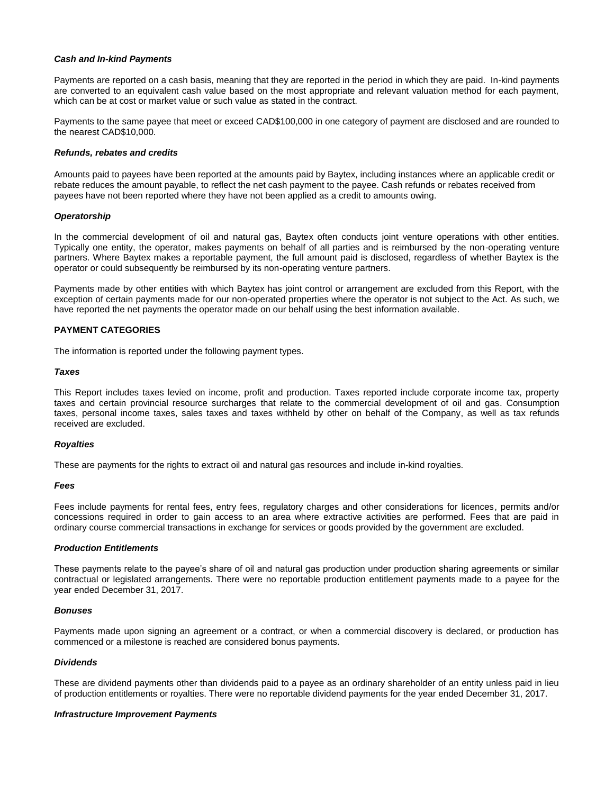#### *Cash and In-kind Payments*

Payments are reported on a cash basis, meaning that they are reported in the period in which they are paid. In-kind payments are converted to an equivalent cash value based on the most appropriate and relevant valuation method for each payment, which can be at cost or market value or such value as stated in the contract.

Payments to the same payee that meet or exceed CAD\$100,000 in one category of payment are disclosed and are rounded to the nearest CAD\$10,000.

#### *Refunds, rebates and credits*

Amounts paid to payees have been reported at the amounts paid by Baytex, including instances where an applicable credit or rebate reduces the amount payable, to reflect the net cash payment to the payee. Cash refunds or rebates received from payees have not been reported where they have not been applied as a credit to amounts owing.

#### *Operatorship*

In the commercial development of oil and natural gas, Baytex often conducts joint venture operations with other entities. Typically one entity, the operator, makes payments on behalf of all parties and is reimbursed by the non-operating venture partners. Where Baytex makes a reportable payment, the full amount paid is disclosed, regardless of whether Baytex is the operator or could subsequently be reimbursed by its non-operating venture partners.

Payments made by other entities with which Baytex has joint control or arrangement are excluded from this Report, with the exception of certain payments made for our non-operated properties where the operator is not subject to the Act. As such, we have reported the net payments the operator made on our behalf using the best information available.

## **PAYMENT CATEGORIES**

The information is reported under the following payment types.

#### *Taxes*

This Report includes taxes levied on income, profit and production. Taxes reported include corporate income tax, property taxes and certain provincial resource surcharges that relate to the commercial development of oil and gas. Consumption taxes, personal income taxes, sales taxes and taxes withheld by other on behalf of the Company, as well as tax refunds received are excluded.

#### *Royalties*

These are payments for the rights to extract oil and natural gas resources and include in-kind royalties.

#### *Fees*

Fees include payments for rental fees, entry fees, regulatory charges and other considerations for licences, permits and/or concessions required in order to gain access to an area where extractive activities are performed. Fees that are paid in ordinary course commercial transactions in exchange for services or goods provided by the government are excluded.

#### *Production Entitlements*

These payments relate to the payee's share of oil and natural gas production under production sharing agreements or similar contractual or legislated arrangements. There were no reportable production entitlement payments made to a payee for the year ended December 31, 2017.

#### *Bonuses*

Payments made upon signing an agreement or a contract, or when a commercial discovery is declared, or production has commenced or a milestone is reached are considered bonus payments.

### *Dividends*

These are dividend payments other than dividends paid to a payee as an ordinary shareholder of an entity unless paid in lieu of production entitlements or royalties. There were no reportable dividend payments for the year ended December 31, 2017.

#### *Infrastructure Improvement Payments*